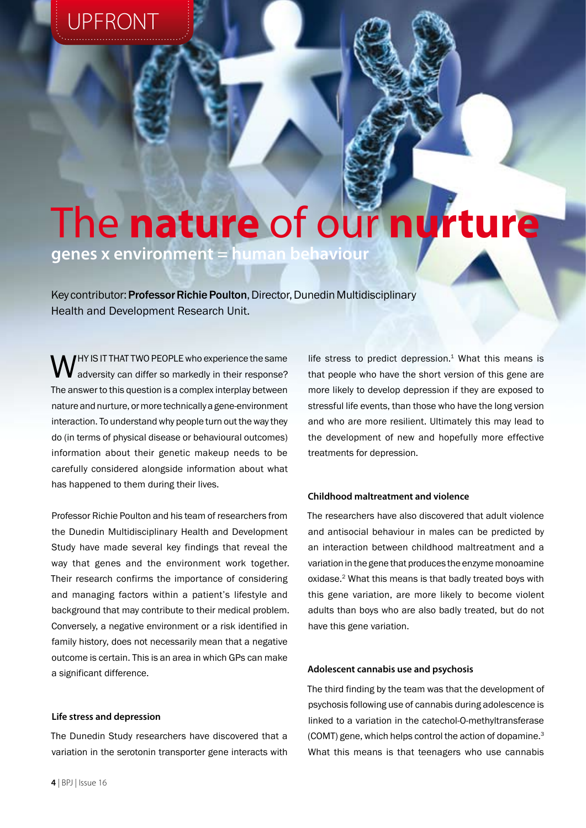# UPFRONT

# The **nature** of our **nurture**

**genes x environment = human behaviour**

Key contributor: Professor Richie Poulton, Director, Dunedin Multidisciplinary Health and Development Research Unit.

WHY IS IT THAT TWO PEOPLE who experience the same<br>differ so markedly in their response? The answer to this question is a complex interplay between nature and nurture, or more technically a gene-environment interaction. To understand why people turn out the way they do (in terms of physical disease or behavioural outcomes) information about their genetic makeup needs to be carefully considered alongside information about what has happened to them during their lives.

Professor Richie Poulton and his team of researchers from the Dunedin Multidisciplinary Health and Development Study have made several key findings that reveal the way that genes and the environment work together. Their research confirms the importance of considering and managing factors within a patient's lifestyle and background that may contribute to their medical problem. Conversely, a negative environment or a risk identified in family history, does not necessarily mean that a negative outcome is certain. This is an area in which GPs can make a significant difference.

#### **Life stress and depression**

The Dunedin Study researchers have discovered that a variation in the serotonin transporter gene interacts with

life stress to predict depression. $1$  What this means is that people who have the short version of this gene are more likely to develop depression if they are exposed to stressful life events, than those who have the long version and who are more resilient. Ultimately this may lead to the development of new and hopefully more effective treatments for depression.

## **Childhood maltreatment and violence**

The researchers have also discovered that adult violence and antisocial behaviour in males can be predicted by an interaction between childhood maltreatment and a variation in the gene that produces the enzyme monoamine oxidase.2 What this means is that badly treated boys with this gene variation, are more likely to become violent adults than boys who are also badly treated, but do not have this gene variation.

#### **Adolescent cannabis use and psychosis**

The third finding by the team was that the development of psychosis following use of cannabis during adolescence is linked to a variation in the catechol-O-methyltransferase (COMT) gene, which helps control the action of dopamine.3 What this means is that teenagers who use cannabis